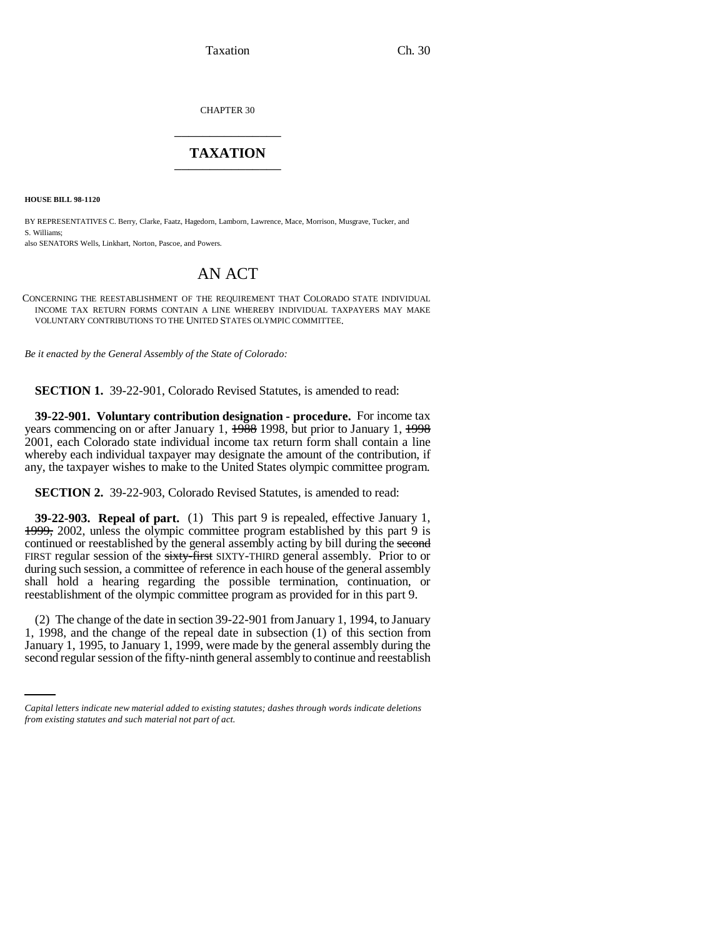Taxation Ch. 30

CHAPTER 30 \_\_\_\_\_\_\_\_\_\_\_\_\_\_\_

## **TAXATION** \_\_\_\_\_\_\_\_\_\_\_\_\_\_\_

**HOUSE BILL 98-1120**

BY REPRESENTATIVES C. Berry, Clarke, Faatz, Hagedorn, Lamborn, Lawrence, Mace, Morrison, Musgrave, Tucker, and S. Williams;

also SENATORS Wells, Linkhart, Norton, Pascoe, and Powers.

## AN ACT

CONCERNING THE REESTABLISHMENT OF THE REQUIREMENT THAT COLORADO STATE INDIVIDUAL INCOME TAX RETURN FORMS CONTAIN A LINE WHEREBY INDIVIDUAL TAXPAYERS MAY MAKE VOLUNTARY CONTRIBUTIONS TO THE UNITED STATES OLYMPIC COMMITTEE.

*Be it enacted by the General Assembly of the State of Colorado:*

**SECTION 1.** 39-22-901, Colorado Revised Statutes, is amended to read:

**39-22-901. Voluntary contribution designation - procedure.** For income tax years commencing on or after January 1,  $\frac{1988}{1998}$  1998, but prior to January 1,  $\frac{1998}{1998}$ 2001, each Colorado state individual income tax return form shall contain a line whereby each individual taxpayer may designate the amount of the contribution, if any, the taxpayer wishes to make to the United States olympic committee program.

**SECTION 2.** 39-22-903, Colorado Revised Statutes, is amended to read:

**39-22-903. Repeal of part.** (1) This part 9 is repealed, effective January 1, 1999, 2002, unless the olympic committee program established by this part 9 is continued or reestablished by the general assembly acting by bill during the second FIRST regular session of the sixty-first SIXTY-THIRD general assembly. Prior to or during such session, a committee of reference in each house of the general assembly shall hold a hearing regarding the possible termination, continuation, or reestablishment of the olympic committee program as provided for in this part 9.

1, 1998, and the change of the repeal date in subsection (1) of this section from (2) The change of the date in section 39-22-901 from January 1, 1994, to January January 1, 1995, to January 1, 1999, were made by the general assembly during the second regular session of the fifty-ninth general assembly to continue and reestablish

*Capital letters indicate new material added to existing statutes; dashes through words indicate deletions from existing statutes and such material not part of act.*